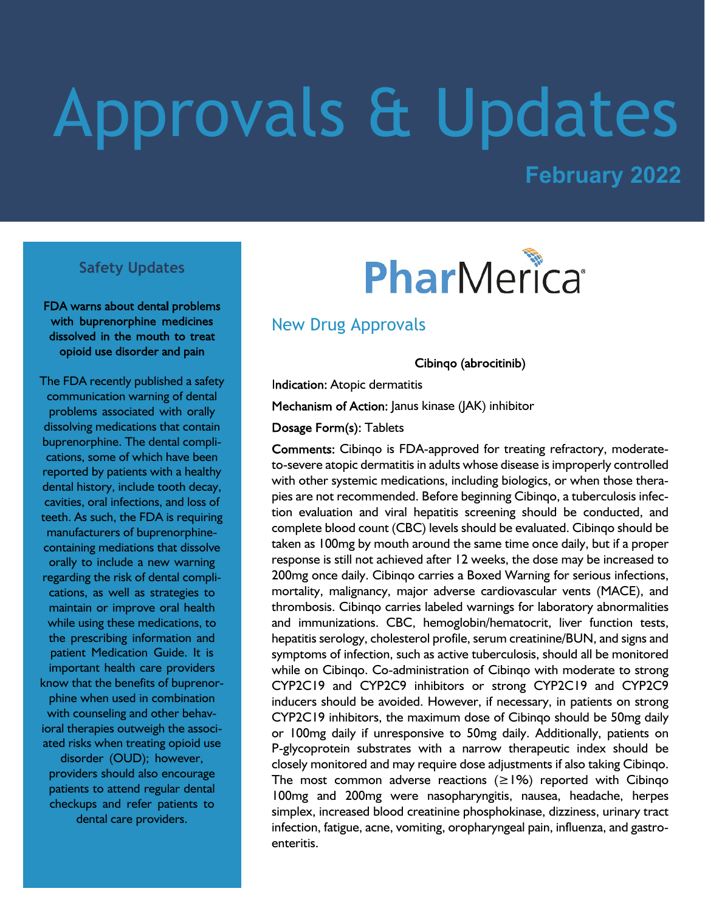# Approvals & Updates

# **February 2022**

#### **Safety Updates**

FDA warns about dental problems with buprenorphine medicines dissolved in the mouth to treat opioid use disorder and pain

The FDA recently published a safety communication warning of dental problems associated with orally dissolving medications that contain buprenorphine. The dental complications, some of which have been reported by patients with a healthy dental history, include tooth decay, cavities, oral infections, and loss of teeth. As such, the FDA is requiring manufacturers of buprenorphinecontaining mediations that dissolve orally to include a new warning regarding the risk of dental complications, as well as strategies to maintain or improve oral health while using these medications, to the prescribing information and patient Medication Guide. It is important health care providers know that the benefits of buprenorphine when used in combination with counseling and other behavioral therapies outweigh the associated risks when treating opioid use disorder (OUD); however, providers should also encourage patients to attend regular dental checkups and refer patients to dental care providers.

# PharMerica®

### New Drug Approvals

Cibingo (abrocitinib)

**Indication: Atopic dermatitis** 

Mechanism of Action: Janus kinase (JAK) inhibitor

Dosage Form(s): Tablets

Comments: Cibinqo is FDA-approved for treating refractory, moderateto-severe atopic dermatitis in adults whose disease is improperly controlled with other systemic medications, including biologics, or when those therapies are not recommended. Before beginning Cibinqo, a tuberculosis infection evaluation and viral hepatitis screening should be conducted, and complete blood count (CBC) levels should be evaluated. Cibinqo should be taken as 100mg by mouth around the same time once daily, but if a proper response is still not achieved after 12 weeks, the dose may be increased to 200mg once daily. Cibinqo carries a Boxed Warning for serious infections, mortality, malignancy, major adverse cardiovascular vents (MACE), and thrombosis. Cibinqo carries labeled warnings for laboratory abnormalities and immunizations. CBC, hemoglobin/hematocrit, liver function tests, hepatitis serology, cholesterol profile, serum creatinine/BUN, and signs and symptoms of infection, such as active tuberculosis, should all be monitored while on Cibinqo. Co-administration of Cibinqo with moderate to strong CYP2C19 and CYP2C9 inhibitors or strong CYP2C19 and CYP2C9 inducers should be avoided. However, if necessary, in patients on strong CYP2C19 inhibitors, the maximum dose of Cibinqo should be 50mg daily or 100mg daily if unresponsive to 50mg daily. Additionally, patients on P-glycoprotein substrates with a narrow therapeutic index should be closely monitored and may require dose adjustments if also taking Cibinqo. The most common adverse reactions  $(\geq 1\%)$  reported with Cibingo 100mg and 200mg were nasopharyngitis, nausea, headache, herpes simplex, increased blood creatinine phosphokinase, dizziness, urinary tract infection, fatigue, acne, vomiting, oropharyngeal pain, influenza, and gastroenteritis.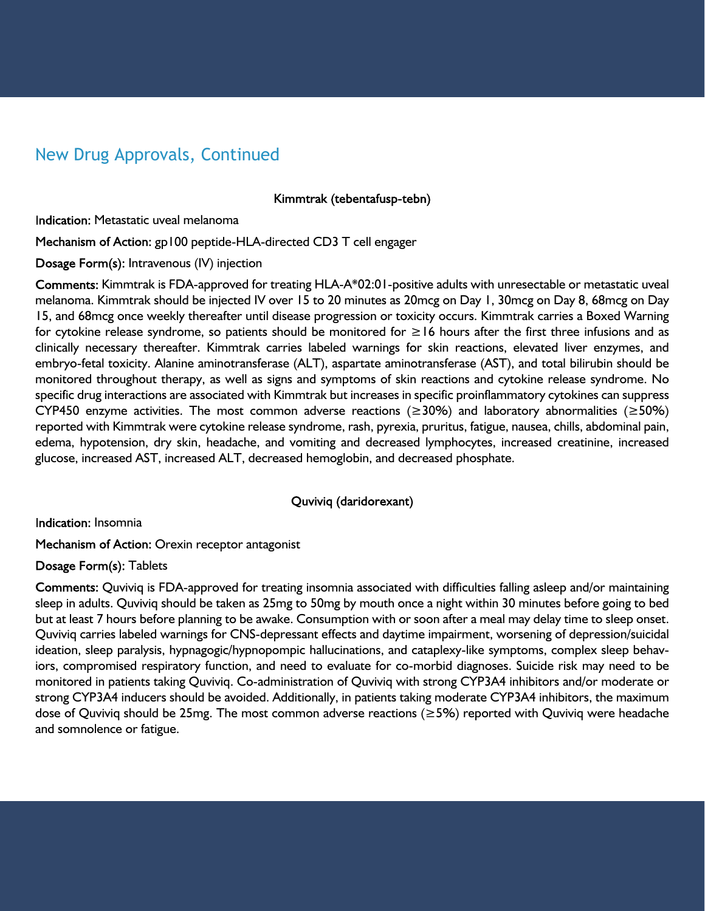# New Drug Approvals, Continued

Kimmtrak (tebentafusp-tebn)

Indication: Metastatic uveal melanoma

Mechanism of Action: gp100 peptide-HLA-directed CD3 T cell engager

Dosage Form(s): Intravenous (IV) injection

Comments: Kimmtrak is FDA-approved for treating HLA-A\*02:01-positive adults with unresectable or metastatic uveal melanoma. Kimmtrak should be injected IV over 15 to 20 minutes as 20mcg on Day 1, 30mcg on Day 8, 68mcg on Day 15, and 68mcg once weekly thereafter until disease progression or toxicity occurs. Kimmtrak carries a Boxed Warning for cytokine release syndrome, so patients should be monitored for ≥16 hours after the first three infusions and as clinically necessary thereafter. Kimmtrak carries labeled warnings for skin reactions, elevated liver enzymes, and embryo-fetal toxicity. Alanine aminotransferase (ALT), aspartate aminotransferase (AST), and total bilirubin should be monitored throughout therapy, as well as signs and symptoms of skin reactions and cytokine release syndrome. No specific drug interactions are associated with Kimmtrak but increases in specific proinflammatory cytokines can suppress CYP450 enzyme activities. The most common adverse reactions ( $\geq$ 30%) and laboratory abnormalities ( $\geq$ 50%) reported with Kimmtrak were cytokine release syndrome, rash, pyrexia, pruritus, fatigue, nausea, chills, abdominal pain, edema, hypotension, dry skin, headache, and vomiting and decreased lymphocytes, increased creatinine, increased glucose, increased AST, increased ALT, decreased hemoglobin, and decreased phosphate.

#### Quviviq (daridorexant)

**Indication: Insomnia** 

Mechanism of Action: Orexin receptor antagonist

Dosage Form(s): Tablets

Comments: Quviviq is FDA-approved for treating insomnia associated with difficulties falling asleep and/or maintaining sleep in adults. Quviviq should be taken as 25mg to 50mg by mouth once a night within 30 minutes before going to bed but at least 7 hours before planning to be awake. Consumption with or soon after a meal may delay time to sleep onset. Quviviq carries labeled warnings for CNS-depressant effects and daytime impairment, worsening of depression/suicidal ideation, sleep paralysis, hypnagogic/hypnopompic hallucinations, and cataplexy-like symptoms, complex sleep behaviors, compromised respiratory function, and need to evaluate for co-morbid diagnoses. Suicide risk may need to be monitored in patients taking Quviviq. Co-administration of Quviviq with strong CYP3A4 inhibitors and/or moderate or strong CYP3A4 inducers should be avoided. Additionally, in patients taking moderate CYP3A4 inhibitors, the maximum dose of Quviviq should be 25mg. The most common adverse reactions (≥5%) reported with Quviviq were headache and somnolence or fatigue.